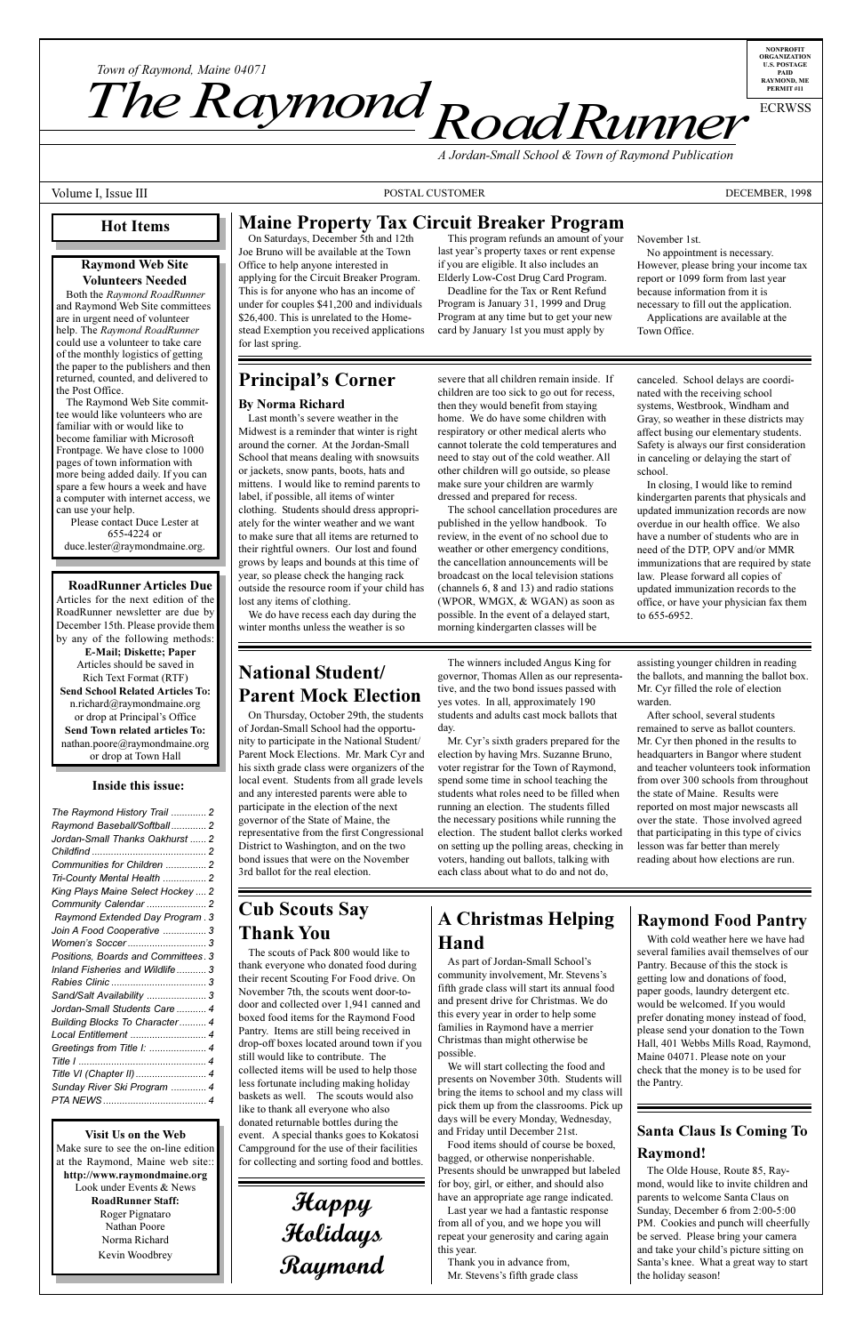more being added daily. If you can spare a few hours a week and have a computer with internet access, we can use your help.

Please contact Duce Lester at 655-4224 or duce.lester@raymondmaine.org.

## **RoadRunner Articles Due**

Articles for the next edition of the RoadRunner newsletter are due by December 15th. Please provide them by any of the following methods:

**E-Mail; Diskette; Paper** Articles should be saved in Rich Text Format (RTF) **Send School Related Articles To:** n.richard@raymondmaine.org or drop at Principal's Office **Send Town related articles To:** nathan.poore@raymondmaine.org or drop at Town Hall

## **Inside this issue:**

| The Raymond History Trail  2        |
|-------------------------------------|
| Raymond Baseball/Softball 2         |
| Jordan-Small Thanks Oakhurst  2     |
|                                     |
| Communities for Children  2         |
| Tri-County Mental Health  2         |
| King Plays Maine Select Hockey  2   |
| Community Calendar  2               |
| Raymond Extended Day Program. 3     |
| Join A Food Cooperative  3          |
|                                     |
| Positions, Boards and Committees. 3 |
| Inland Fisheries and Wildlife3      |
|                                     |
| Sand/Salt Availability  3           |
| Jordan-Small Students Care  4       |
| Building Blocks To Character 4      |
| Local Entitlement  4                |
| Greetings from Title I:  4          |
|                                     |
| Title VI (Chapter II)  4            |
| Sunday River Ski Program  4         |
|                                     |
|                                     |

## **Visit Us on the Web**

Make sure to see the on-line edition at the Raymond, Maine web site:: **http://www.raymondmaine.org** Look under Events & News **RoadRunner Staff:** Roger Pignataro Nathan Poore Norma Richard Kevin Woodbrey

or jackets, snow pants, boots, hats and mittens. I would like to remind parents to label, if possible, all items of winter clothing. Students should dress appropriately for the winter weather and we want to make sure that all items are returned to their rightful owners. Our lost and found grows by leaps and bounds at this time of year, so please check the hanging rack outside the resource room if your child has lost any items of clothing.

We do have recess each day during the winter months unless the weather is so

# **National Student/ Parent Mock Election**

On Thursday, October 29th, the students of Jordan-Small School had the opportunity to participate in the National Student/ Parent Mock Elections. Mr. Mark Cyr and his sixth grade class were organizers of the local event. Students from all grade levels and any interested parents were able to participate in the election of the next governor of the State of Maine, the representative from the first Congressional District to Washington, and on the two bond issues that were on the November 3rd ballot for the real election.

# **Cub Scouts Say Thank You**

The scouts of Pack 800 would like to thank everyone who donated food during their recent Scouting For Food drive. On November 7th, the scouts went door-todoor and collected over 1,941 canned and boxed food items for the Raymond Food Pantry. Items are still being received in drop-off boxes located around town if you still would like to contribute. The collected items will be used to help those less fortunate including making holiday baskets as well. The scouts would also like to thank all everyone who also donated returnable bottles during the event. A special thanks goes to Kokatosi Campground for the use of their facilities for collecting and sorting food and bottles.

> **Happy Holidays Raymond**

other children will go outside, so please make sure your children are warmly dressed and prepared for recess.

The school cancellation procedures are published in the yellow handbook. To review, in the event of no school due to weather or other emergency conditions, the cancellation announcements will be broadcast on the local television stations (channels 6, 8 and 13) and radio stations (WPOR, WMGX, & WGAN) as soon as possible. In the event of a delayed start, morning kindergarten classes will be

The winners included Angus King for governor, Thomas Allen as our representative, and the two bond issues passed with yes votes. In all, approximately 190 students and adults cast mock ballots that day.

Mr. Cyr's sixth graders prepared for the election by having Mrs. Suzanne Bruno, voter registrar for the Town of Raymond, spend some time in school teaching the students what roles need to be filled when running an election. The students filled the necessary positions while running the election. The student ballot clerks worked on setting up the polling areas, checking in voters, handing out ballots, talking with each class about what to do and not do,

and tea from o the stat reporte over the that pa lesson reading

# **A Christmas Helping Hand**

As part of Jordan-Small School's community involvement, Mr. Stevens's fifth grade class will start its annual food and present drive for Christmas. We do this every year in order to help some families in Raymond have a merrier Christmas than might otherwise be possible.

We will start collecting the food and presents on November 30th. Students will bring the items to school and my class will pick them up from the classrooms. Pick up days will be every Monday, Wednesday, and Friday until December 21st.

Food items should of course be boxed, bagged, or otherwise nonperishable. Presents should be unwrapped but labeled for boy, girl, or either, and should also have an appropriate age range indicated.

Last year we had a fantastic response from all of you, and we hope you will repeat your generosity and caring again this year.

Thank you in advance from, Mr. Stevens's fifth grade class

## **Ray** With

several Pantry. getting paper g would prefer please Hall, 4 Maine check t the Pan

## **Sant Ray**

The mond, parents Sunda<sup>y</sup> PM. C be serv and tak Santa's the hol

school. In cl kinderg update

overdu have a need o

immun law. P update office, to  $655$ assistin

the bal Mr. Cy warden Afte remain Mr. Cy headqu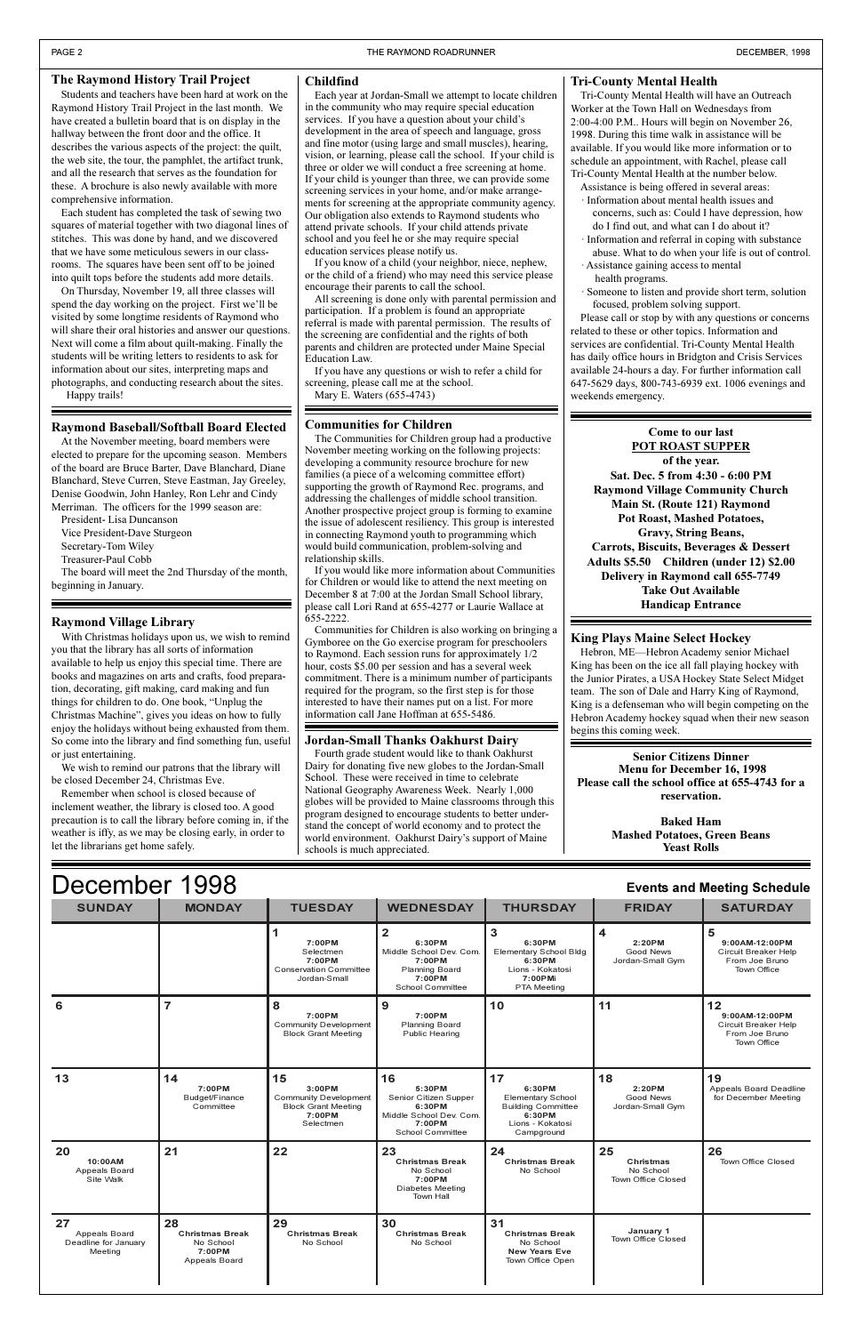#### December 1998 **Events and Meeting Schedule S Y UNDAY M Y ONDA T Y UESDA W Y EDNESDA T Y HURSDA F Y RIDA SATURDA 1 7:00PM** Selectmen **7:00PM** Conservation Committee **2 6:30PM** Middle School Dev. Com. **7:00PM** Planning Board **3 6:30PM** Elementary School Bldg **6:30PM** Lions - Kokatosi **4 2:20PM** Good News Jordan-Small Gym **5 9:00AM-12:00PM** Circuit Breaker Help From Joe Bruno Town Office

|                                                        |                                                                      | Jordan-Small                                                                                         | 7:00PM<br>School Committee                                                                               | 7:00PMi<br><b>PTA Meeting</b>                                                                                     |                                                           |                                                                                      |
|--------------------------------------------------------|----------------------------------------------------------------------|------------------------------------------------------------------------------------------------------|----------------------------------------------------------------------------------------------------------|-------------------------------------------------------------------------------------------------------------------|-----------------------------------------------------------|--------------------------------------------------------------------------------------|
| 6                                                      | 7                                                                    | 8<br>7:00PM<br><b>Community Development</b><br><b>Block Grant Meeting</b>                            | 9<br>7:00PM<br><b>Planning Board</b><br>Public Hearing                                                   | 10                                                                                                                | 11                                                        | 12<br>9:00AM-12:00PM<br>Circuit Breaker Help<br>From Joe Bruno<br><b>Town Office</b> |
| 13                                                     | 14<br>7:00PM<br>Budget/Finance<br>Committee                          | 15<br>$3:00$ PM<br><b>Community Development</b><br><b>Block Grant Meeting</b><br>7:00PM<br>Selectmen | 16<br>5:30PM<br>Senior Citizen Supper<br>6:30PM<br>Middle School Dev. Com.<br>7:00PM<br>School Committee | 17<br>6:30PM<br><b>Elementary School</b><br><b>Building Committee</b><br>6:30PM<br>Lions - Kokatosi<br>Campground | 18<br>2:20PM<br>Good News<br>Jordan-Small Gym             | 19<br>Appeals Board Deadline<br>for December Meeting                                 |
| 20<br>10:00AM<br>Appeals Board<br>Site Walk            | 21                                                                   | 22                                                                                                   | 23<br><b>Christmas Break</b><br>No School<br>7:00PM<br><b>Diabetes Meeting</b><br><b>Town Hall</b>       | 24<br><b>Christmas Break</b><br>No School                                                                         | 25<br>Christmas<br>No School<br><b>Town Office Closed</b> | 26<br>Town Office Closed                                                             |
| 27<br>Appeals Board<br>Deadline for January<br>Meeting | 28<br><b>Christmas Break</b><br>No School<br>7:00PM<br>Appeals Board | 29<br><b>Christmas Break</b><br>No School                                                            | 30<br><b>Christmas Break</b><br>No School                                                                | 31<br><b>Christmas Break</b><br>No School<br><b>New Years Eve</b><br>Town Office Open                             | January 1<br><b>Town Office Closed</b>                    |                                                                                      |

## **Tri-County Mental Health**

Tri-County Mental Health will have an Outreach Worker at the Town Hall on Wednesdays from 2:00-4:00 P.M.. Hours will begin on November 26, 1998. During this time walk in assistance will be available. If you would like more information or to schedule an appointment, with Rachel, please call Tri-County Mental Health at the number below.

Assistance is being offered in several areas: · Information about mental health issues and

- concerns, such as: Could I have depression, how do I find out, and what can I do about it?
- · Information and referral in coping with substance abuse. What to do when your life is out of control. · Assistance gaining access to mental
- health programs.
- · Someone to listen and provide short term, solution focused, problem solving support.

Please call or stop by with any questions or concerns related to these or other topics. Information and services are confidential. Tri-County Mental Health has daily office hours in Bridgton and Crisis Services available 24-hours a day. For further information call 647-5629 days, 800-743-6939 ext. 1006 evenings and weekends emergency.

## **Communities for Children**

The Communities for Children group had a productive November meeting working on the following projects: developing a community resource brochure for new families (a piece of a welcoming committee effort) supporting the growth of Raymond Rec. programs, and addressing the challenges of middle school transition. Another prospective project group is forming to examine the issue of adolescent resiliency. This group is interested in connecting Raymond youth to programming which would build communication, problem-solving and relationship skills.

If you would like more information about Communities for Children or would like to attend the next meeting on December 8 at 7:00 at the Jordan Small School library, please call Lori Rand at 655-4277 or Laurie Wallace at 655-2222.

Communities for Children is also working on bringing a Gymboree on the Go exercise program for preschoolers to Raymond. Each session runs for approximately 1/2 hour, costs \$5.00 per session and has a several week commitment. There is a minimum number of participants required for the program, so the first step is for those interested to have their names put on a list. For more information call Jane Hoffman at 655-5486.

## **Jordan-Small Thanks Oakhurst Dairy**

Hebron, ME-Hebron Academy senior Michael King has been on the ice all fall playing hockey with the Junior Pirates, a USA Hockey State Select Midget team. The son of Dale and Harry King of Raymond, King is a defenseman who will begin competing on the Hebron Academy hockey squad when their new season begins this coming week.

Fourth grade student would like to thank Oakhurst Dairy for donating five new globes to the Jordan-Small School. These were received in time to celebrate National Geography Awareness Week. Nearly 1,000 globes will be provided to Maine classrooms through this program designed to encourage students to better understand the concept of world economy and to protect the world environment. Oakhurst Dairy's support of Maine schools is much appreciated.

#### **Childfind**

Each year at Jordan-Small we attempt to locate children in the community who may require special education services. If you have a question about your child's development in the area of speech and language, gross and fine motor (using large and small muscles), hearing, vision, or learning, please call the school. If your child is three or older we will conduct a free screening at home. If your child is younger than three, we can provide some screening services in your home, and/or make arrangements for screening at the appropriate community agency. Our obligation also extends to Raymond students who attend private schools. If your child attends private school and you feel he or she may require special education services please notify us.

If you know of a child (your neighbor, niece, nephew, or the child of a friend) who may need this service please encourage their parents to call the school.

All screening is done only with parental permission and participation. If a problem is found an appropriate referral is made with parental permission. The results of the screening are confidential and the rights of both parents and children are protected under Maine Special Education Law.

If you have any questions or wish to refer a child for screening, please call me at the school. Mary E. Waters (655-4743)

## **The Raymond History Trail Project**

Students and teachers have been hard at work on the Raymond History Trail Project in the last month. We have created a bulletin board that is on display in the hallway between the front door and the office. It describes the various aspects of the project: the quilt, the web site, the tour, the pamphlet, the artifact trunk, and all the research that serves as the foundation for these. A brochure is also newly available with more comprehensive information.

Each student has completed the task of sewing two squares of material together with two diagonal lines of stitches. This was done by hand, and we discovered that we have some meticulous sewers in our classrooms. The squares have been sent off to be joined into quilt tops before the students add more details.

On Thursday, November 19, all three classes will spend the day working on the project. First we'll be visited by some longtime residents of Raymond who will share their oral histories and answer our questions. Next will come a film about quilt-making. Finally the students will be writing letters to residents to ask for information about our sites, interpreting maps and photographs, and conducting research about the sites.

Happy trails!

## **Raymond Baseball/Softball Board Elected**

At the November meeting, board members were elected to prepare for the upcoming season. Members of the board are Bruce Barter, Dave Blanchard, Diane Blanchard, Steve Curren, Steve Eastman, Jay Greeley, Denise Goodwin, John Hanley, Ron Lehr and Cindy Merriman. The officers for the 1999 season are:

President- Lisa Duncanson Vice President-Dave Sturgeon

Secretary-Tom Wiley Treasurer-Paul Cobb

The board will meet the 2nd Thursday of the month,

beginning in January.

## **King Plays Maine Select Hockey**

**Senior Citizens Dinner Menu for December 16, 1998 Please call the school office at 655-4743 for a reservation.**

> **Baked Ham Mashed Potatoes, Green Beans Yeast Rolls**

## **Come to our last POT ROAST SUPPER**

**of the year. Sat. Dec. 5 from 4:30 - 6:00 PM Raymond Village Community Church Main St. (Route 121) Raymond Pot Roast, Mashed Potatoes, Gravy, String Beans, Carrots, Biscuits, Beverages & Dessert Adults \$5.50 Children (under 12) \$2.00 Delivery in Raymond call 655-7749 Take Out Available Handicap Entrance**

## **Raymond Village Library**

With Christmas holidays upon us, we wish to remind you that the library has all sorts of information available to help us enjoy this special time. There are books and magazines on arts and crafts, food preparation, decorating, gift making, card making and fun things for children to do. One book, "Unplug the Christmas Machine", gives you ideas on how to fully enjoy the holidays without being exhausted from them. So come into the library and find something fun, useful or just entertaining.

We wish to remind our patrons that the library will be closed December 24, Christmas Eve.

Remember when school is closed because of inclement weather, the library is closed too. A good precaution is to call the library before coming in, if the weather is iffy, as we may be closing early, in order to let the librarians get home safely.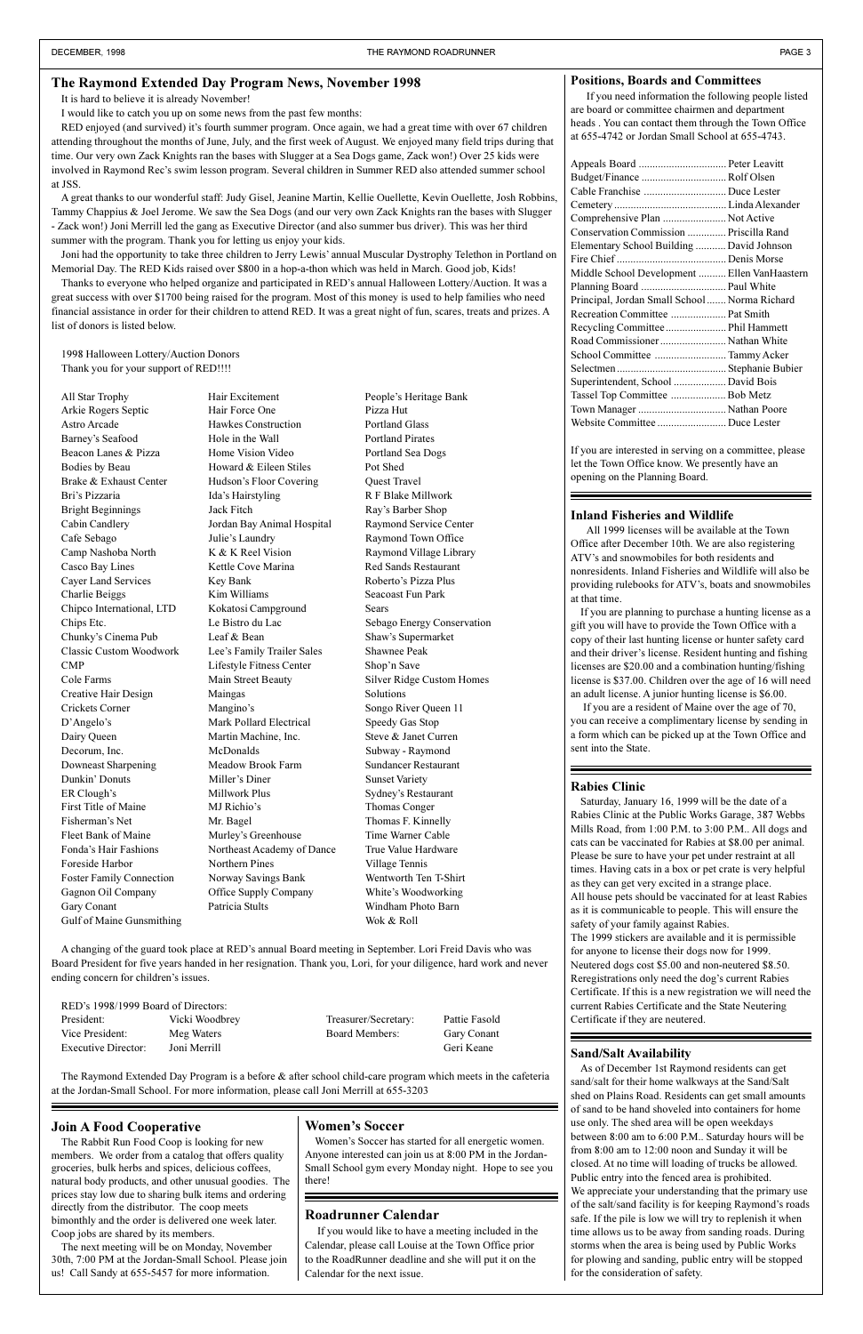## **Inland Fisheries and Wildlife**

All 1999 licenses will be available at the Town Office after December 10th. We are also registering ATV's and snowmobiles for both residents and nonresidents. Inland Fisheries and Wildlife will also be providing rulebooks for ATV's, boats and snowmobiles at that time.

If you are planning to purchase a hunting license as a gift you will have to provide the Town Office with a copy of their last hunting license or hunter safety card and their driver's license. Resident hunting and fishing licenses are \$20.00 and a combination hunting/fishing license is \$37.00. Children over the age of 16 will need an adult license. A junior hunting license is \$6.00.

If you are a resident of Maine over the age of 70, you can receive a complimentary license by sending in a form which can be picked up at the Town Office and sent into the State.

#### **Positions, Boards and Committees**

If you need information the following people listed are board or committee chairmen and department heads . You can contact them through the Town Office at 655-4742 or Jordan Small School at 655-4743.

| Appeals Board  Peter Leavitt                  |  |
|-----------------------------------------------|--|
|                                               |  |
| Cable Franchise  Duce Lester                  |  |
|                                               |  |
| Comprehensive Plan  Not Active                |  |
| Conservation Commission  Priscilla Rand       |  |
| Elementary School Building  David Johnson     |  |
|                                               |  |
| Middle School Development  Ellen VanHaastern  |  |
| Planning Board  Paul White                    |  |
| Principal, Jordan Small School  Norma Richard |  |
|                                               |  |
| Recreation Committee  Pat Smith               |  |
| Recycling Committee  Phil Hammett             |  |
|                                               |  |
| School Committee  Tammy Acker                 |  |
|                                               |  |
| Superintendent, School  David Bois            |  |
| Tassel Top Committee  Bob Metz                |  |
| Town Manager  Nathan Poore                    |  |
| Website Committee  Duce Lester                |  |

Women's Soccer has started for all energetic women. Anyone interested can join us at 8:00 PM in the Jordan-Small School gym every Monday night. Hope to see you there!

If you are interested in serving on a committee, please let the Town Office know. We presently have an opening on the Planning Board.

## **Rabies Clinic**

RED enjoyed (and survived) it's fourth summer program. Once again, we had a great time with over 67 children attending throughout the months of June, July, and the first week of August. We enjoyed many field trips during that time. Our very own Zack Knights ran the bases with Slugger at a Sea Dogs game, Zack won!) Over 25 kids were involved in Raymond Rec's swim lesson program. Several children in Summer RED also attended summer school at JSS.

> Saturday, January 16, 1999 will be the date of a Rabies Clinic at the Public Works Garage, 387 Webbs Mills Road, from 1:00 P.M. to 3:00 P.M.. All dogs and cats can be vaccinated for Rabies at \$8.00 per animal. Please be sure to have your pet under restraint at all times. Having cats in a box or pet crate is very helpful as they can get very excited in a strange place. All house pets should be vaccinated for at least Rabies as it is communicable to people. This will ensure the safety of your family against Rabies.

Joni had the opportunity to take three children to Jerry Lewis' annual Muscular Dystrophy Telethon in Portland on Memorial Day. The RED Kids raised over \$800 in a hop-a-thon which was held in March. Good job, Kids!

Thanks to everyone who helped organize and participated in RED's annual Halloween Lottery/Auction. It was a great success with over \$1700 being raised for the program. Most of this money is used to help families who need financial assistance in order for their children to attend RED. It was a great night of fun, scares, treats and prizes. A list of donors is listed below.

> The 1999 stickers are available and it is permissible for anyone to license their dogs now for 1999. Neutered dogs cost \$5.00 and non-neutered \$8.50. Reregistrations only need the dog's current Rabies Certificate. If this is a new registration we will need the current Rabies Certificate and the State Neutering Certificate if they are neutered.

#### RED's 1998/1999 Board of Directors:

## **Roadrunner Calendar**

 If you would like to have a meeting included in the Calendar, please call Louise at the Town Office prior to the RoadRunner deadline and she will put it on the Calendar for the next issue.

## **Sand/Salt Availability**

As of December 1st Raymond residents can get sand/salt for their home walkways at the Sand/Salt shed on Plains Road. Residents can get small amounts of sand to be hand shoveled into containers for home use only. The shed area will be open weekdays between 8:00 am to 6:00 P.M.. Saturday hours will be from 8:00 am to 12:00 noon and Sunday it will be closed. At no time will loading of trucks be allowed. Public entry into the fenced area is prohibited. We appreciate your understanding that the primary use of the salt/sand facility is for keeping Raymond's roads safe. If the pile is low we will try to replenish it when time allows us to be away from sanding roads. During storms when the area is being used by Public Works for plowing and sanding, public entry will be stopped for the consideration of safety.

All Star Trophy **Hair Excitement** People's Heritage Bank Arkie Rogers Septic Hair Force One Pizza Hut Astro Arcade **Hawkes Construction** Portland Glass Barney's Seafood Hole in the Wall Portland Pirates Beacon Lanes & Pizza Home Vision Video Portland Sea Dogs Bodies by Beau Howard & Eileen Stiles Pot Shed Brake & Exhaust Center Hudson's Floor Covering Quest Travel Bri's Pizzaria Ida's Hairstyling R F Blake Millwork Bright Beginnings Jack Fitch Ray's Barber Shop Cabin Candlery Jordan Bay Animal Hospital Raymond Service Center Cafe Sebago Julies Laundry Raymond Town Office Camp Nashoba North K & K Reel Vision Raymond Village Library Casco Bay Lines Kettle Cove Marina Red Sands Restaurant Cayer Land Services Key Bank Robertos Pizza Plus Charlie Beiggs Kim Williams Seacoast Fun Park Chipco International, LTD Kokatosi Campground Sears Chunky's Cinema Pub Leaf & Bean Shaw's Supermarket Classic Custom Woodwork Lee's Family Trailer Sales Shawnee Peak CMP Lifestyle Fitness Center Shop'n Save Cole Farms **Main Street Beauty** Silver Ridge Custom Homes Creative Hair Design Maingas Solutions Crickets Corner Manginos Songo River Queen 11 D'Angelo's Mark Pollard Electrical Speedy Gas Stop Dairy Queen Martin Machine, Inc. Steve & Janet Curren Decorum, Inc. McDonalds Subway - Raymond Downeast Sharpening Meadow Brook Farm Sundancer Restaurant Dunkin' Donuts Miller's Diner Sunset Variety ER Clough's Millwork Plus Sydney's Restaurant First Title of Maine MJ Richio's Thomas Conger Fisherman's Net Mr. Bagel Thomas F. Kinnelly Fleet Bank of Maine Murley's Greenhouse Time Warner Cable Fonda's Hair Fashions Northeast Academy of Dance True Value Hardware Foreside Harbor Northern Pines Village Tennis Foster Family Connection Norway Savings Bank Wentworth Ten T-Shirt Gagnon Oil Company Office Supply Company White's Woodworking Gary Conant Patricia Stults Windham Photo Barn

President: Vicki Woodbrey Treasurer/Secretary: Pattie Fasold Vice President: Meg Waters Board Members: Gary Conant Executive Director: Joni Merrill Geri Keane

It is hard to believe it is already November!

I would like to catch you up on some news from the past few months:

A great thanks to our wonderful staff: Judy Gisel, Jeanine Martin, Kellie Ouellette, Kevin Ouellette, Josh Robbins, Tammy Chappius & Joel Jerome. We saw the Sea Dogs (and our very own Zack Knights ran the bases with Slugger - Zack won!) Joni Merrill led the gang as Executive Director (and also summer bus driver). This was her third summer with the program. Thank you for letting us enjoy your kids.

1998 Halloween Lottery/Auction Donors Thank you for your support of RED!!!!

Gulf of Maine Gunsmithing Wok & Roll

Chips Etc. Le Bistro du Lac Sebago Energy Conservation

A changing of the guard took place at RED's annual Board meeting in September. Lori Freid Davis who was Board President for five years handed in her resignation. Thank you, Lori, for your diligence, hard work and never ending concern for children's issues.

The Raymond Extended Day Program is a before & after school child-care program which meets in the cafeteria at the Jordan-Small School. For more information, please call Joni Merrill at 655-3203

## **Join A Food Cooperative**

The Rabbit Run Food Coop is looking for new members. We order from a catalog that offers quality groceries, bulk herbs and spices, delicious coffees, natural body products, and other unusual goodies. The prices stay low due to sharing bulk items and ordering directly from the distributor. The coop meets bimonthly and the order is delivered one week later. Coop jobs are shared by its members.

The next meeting will be on Monday, November 30th, 7:00 PM at the Jordan-Small School. Please join us! Call Sandy at 655-5457 for more information.

## **Women's Soccer**